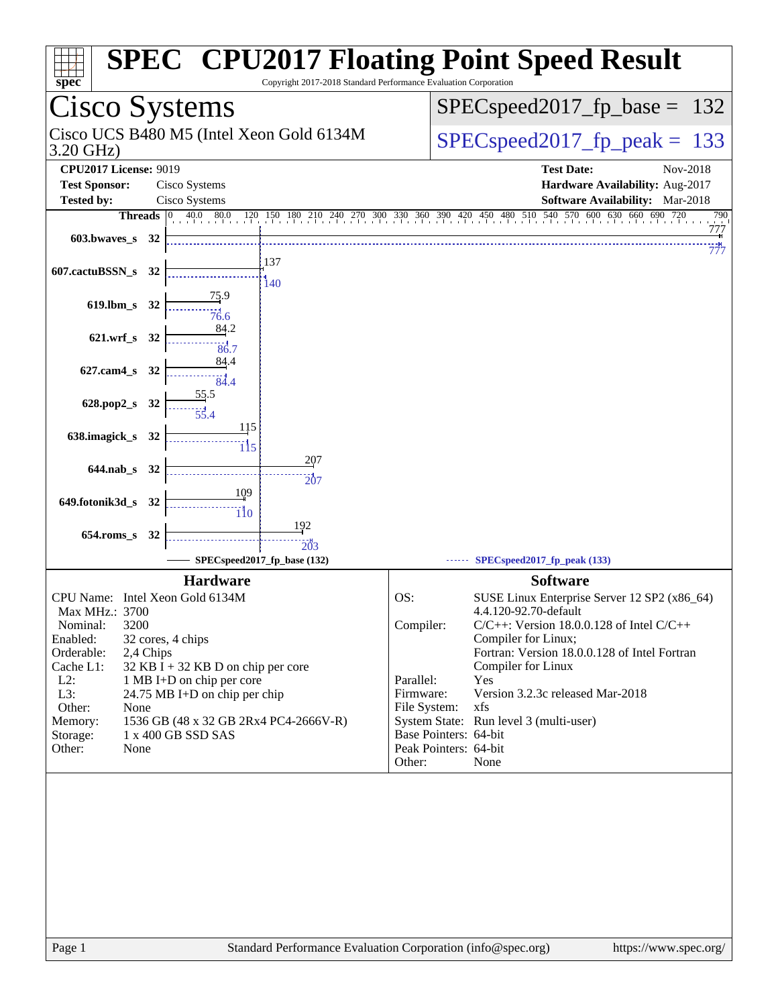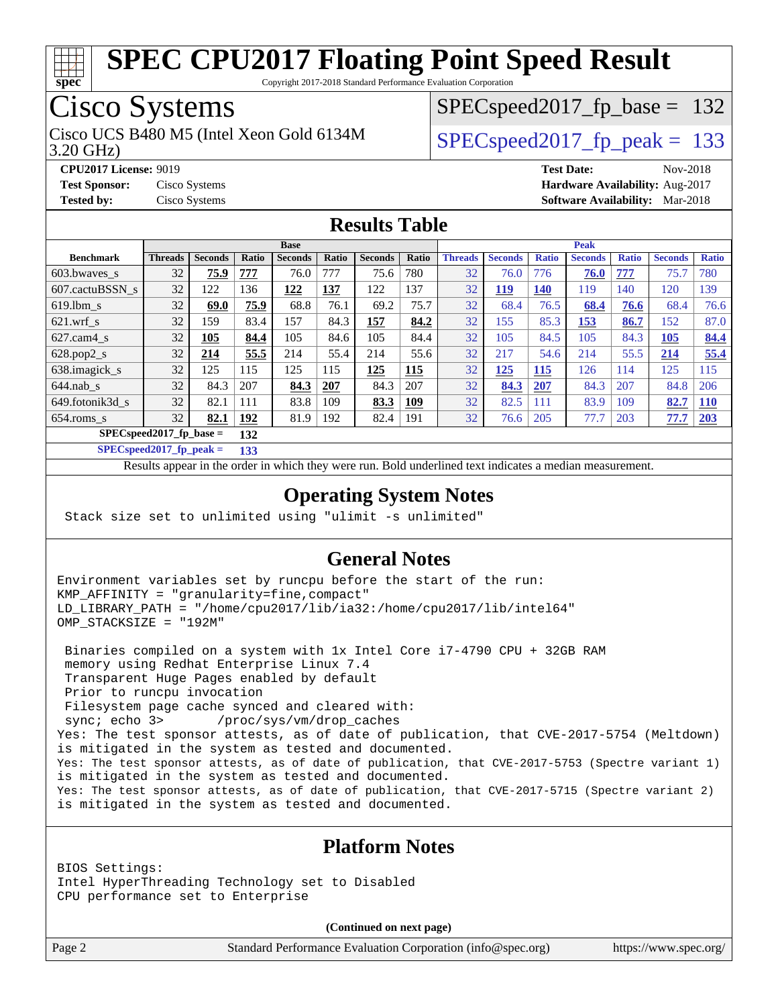

Copyright 2017-2018 Standard Performance Evaluation Corporation

## Cisco Systems

3.20 GHz) Cisco UCS B480 M5 (Intel Xeon Gold 6134M  $SPEC speed2017$  fp\_peak = 133

SPECspeed2017 fp base =  $132$ 

**[CPU2017 License:](http://www.spec.org/auto/cpu2017/Docs/result-fields.html#CPU2017License)** 9019 **[Test Date:](http://www.spec.org/auto/cpu2017/Docs/result-fields.html#TestDate)** Nov-2018 **[Test Sponsor:](http://www.spec.org/auto/cpu2017/Docs/result-fields.html#TestSponsor)** Cisco Systems **[Hardware Availability:](http://www.spec.org/auto/cpu2017/Docs/result-fields.html#HardwareAvailability)** Aug-2017 **[Tested by:](http://www.spec.org/auto/cpu2017/Docs/result-fields.html#Testedby)** Cisco Systems **[Software Availability:](http://www.spec.org/auto/cpu2017/Docs/result-fields.html#SoftwareAvailability)** Mar-2018

#### **[Results Table](http://www.spec.org/auto/cpu2017/Docs/result-fields.html#ResultsTable)**

|                                  | <b>Base</b>    |                |              |                |       |                | <b>Peak</b> |                |                |              |                |              |                |              |
|----------------------------------|----------------|----------------|--------------|----------------|-------|----------------|-------------|----------------|----------------|--------------|----------------|--------------|----------------|--------------|
| <b>Benchmark</b>                 | <b>Threads</b> | <b>Seconds</b> | <b>Ratio</b> | <b>Seconds</b> | Ratio | <b>Seconds</b> | Ratio       | <b>Threads</b> | <b>Seconds</b> | <b>Ratio</b> | <b>Seconds</b> | <b>Ratio</b> | <b>Seconds</b> | <b>Ratio</b> |
| $603.bwaves$ s                   | 32             | 75.9           | 777          | 76.0           | 777   | 75.6           | 780         | 32             | 76.0           | 776          | 76.0           | 777          | 75.7           | 780          |
| 607.cactuBSSN s                  | 32             | 122            | 136          | 122            | 137   | 122            | 137         | 32             | <u>119</u>     | 140          | 119            | 140          | 120            | 139          |
| $619.1$ bm s                     | 32             | 69.0           | 75.9         | 68.8           | 76.1  | 69.2           | 75.7        | 32             | 68.4           | 76.5         | 68.4           | 76.6         | 68.4           | 76.6         |
| $621.wrf$ s                      | 32             | 159            | 83.4         | 157            | 84.3  | 157            | 84.2        | 32             | 155            | 85.3         | 153            | 86.7         | 152            | 87.0         |
| $627$ .cam $4 \text{ s}$         | 32             | 105            | 84.4         | 105            | 84.6  | 105            | 84.4        | 32             | 105            | 84.5         | 105            | 84.3         | 105            | 84.4         |
| $628.pop2_s$                     | 32             | 214            | 55.5         | 214            | 55.4  | 214            | 55.6        | 32             | 217            | 54.6         | 214            | 55.5         | 214            | 55.4         |
| 638.imagick_s                    | 32             | 125            | 115          | 125            | 115   | 125            | 115         | 32             | 125            | 115          | 126            | 114          | 125            | 115          |
| $644$ .nab s                     | 32             | 84.3           | 207          | 84.3           | 207   | 84.3           | 207         | 32             | 84.3           | 207          | 84.3           | 207          | 84.8           | 206          |
| 649.fotonik3d s                  | 32             | 82.1           | 111          | 83.8           | 109   | 83.3           | 109         | 32             | 82.5           | 111          | 83.9           | 109          | 82.7           | <b>110</b>   |
| $654$ .roms s                    | 32             | 82.1           | 192          | 81.9           | 192   | 82.4           | 191         | 32             | 76.6           | 205          | 77.7           | 203          | 77.7           | 203          |
| $SPECspeed2017$ fp base =<br>132 |                |                |              |                |       |                |             |                |                |              |                |              |                |              |

**[SPECspeed2017\\_fp\\_peak =](http://www.spec.org/auto/cpu2017/Docs/result-fields.html#SPECspeed2017fppeak) 133**

Results appear in the [order in which they were run.](http://www.spec.org/auto/cpu2017/Docs/result-fields.html#RunOrder) Bold underlined text [indicates a median measurement](http://www.spec.org/auto/cpu2017/Docs/result-fields.html#Median).

#### **[Operating System Notes](http://www.spec.org/auto/cpu2017/Docs/result-fields.html#OperatingSystemNotes)**

Stack size set to unlimited using "ulimit -s unlimited"

#### **[General Notes](http://www.spec.org/auto/cpu2017/Docs/result-fields.html#GeneralNotes)**

Environment variables set by runcpu before the start of the run: KMP\_AFFINITY = "granularity=fine,compact" LD\_LIBRARY\_PATH = "/home/cpu2017/lib/ia32:/home/cpu2017/lib/intel64" OMP\_STACKSIZE = "192M"

 Binaries compiled on a system with 1x Intel Core i7-4790 CPU + 32GB RAM memory using Redhat Enterprise Linux 7.4 Transparent Huge Pages enabled by default Prior to runcpu invocation Filesystem page cache synced and cleared with: sync; echo 3> /proc/sys/vm/drop\_caches Yes: The test sponsor attests, as of date of publication, that CVE-2017-5754 (Meltdown) is mitigated in the system as tested and documented. Yes: The test sponsor attests, as of date of publication, that CVE-2017-5753 (Spectre variant 1) is mitigated in the system as tested and documented. Yes: The test sponsor attests, as of date of publication, that CVE-2017-5715 (Spectre variant 2) is mitigated in the system as tested and documented.

#### **[Platform Notes](http://www.spec.org/auto/cpu2017/Docs/result-fields.html#PlatformNotes)**

BIOS Settings: Intel HyperThreading Technology set to Disabled CPU performance set to Enterprise

**(Continued on next page)**

Page 2 Standard Performance Evaluation Corporation [\(info@spec.org\)](mailto:info@spec.org) <https://www.spec.org/>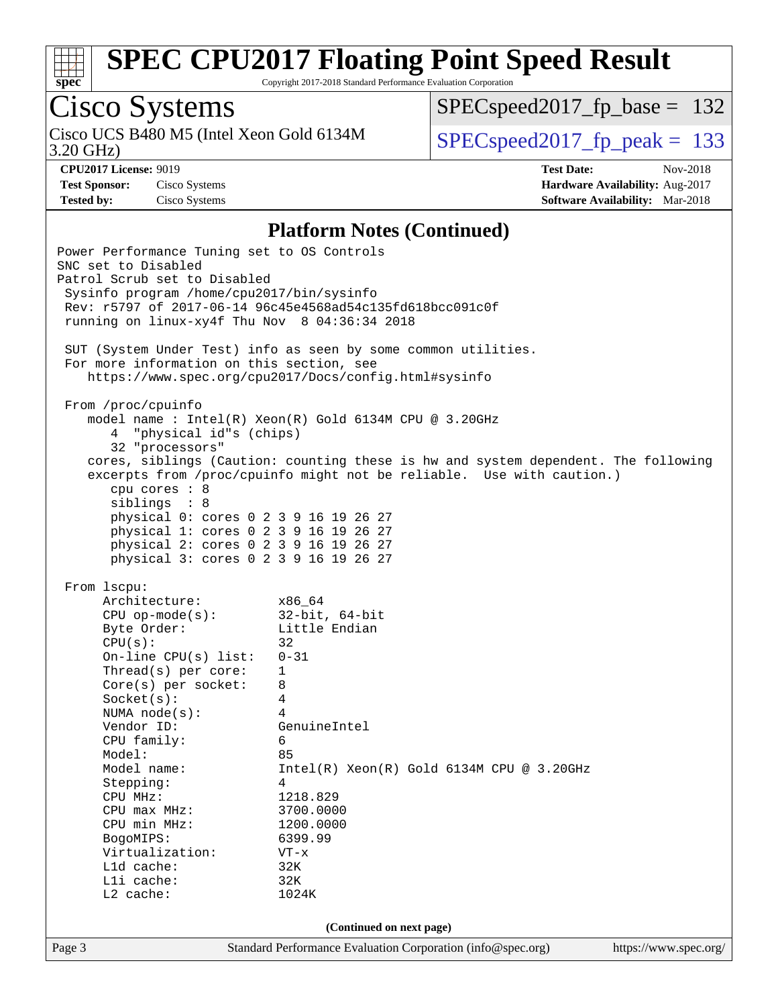

Copyright 2017-2018 Standard Performance Evaluation Corporation

# Cisco Systems

3.20 GHz) Cisco UCS B480 M5 (Intel Xeon Gold 6134M  $SPECspeed2017_fpcak = 133$ 

[SPECspeed2017\\_fp\\_base =](http://www.spec.org/auto/cpu2017/Docs/result-fields.html#SPECspeed2017fpbase) 132

**[CPU2017 License:](http://www.spec.org/auto/cpu2017/Docs/result-fields.html#CPU2017License)** 9019 **[Test Date:](http://www.spec.org/auto/cpu2017/Docs/result-fields.html#TestDate)** Nov-2018 **[Test Sponsor:](http://www.spec.org/auto/cpu2017/Docs/result-fields.html#TestSponsor)** Cisco Systems **[Hardware Availability:](http://www.spec.org/auto/cpu2017/Docs/result-fields.html#HardwareAvailability)** Aug-2017 **[Tested by:](http://www.spec.org/auto/cpu2017/Docs/result-fields.html#Testedby)** Cisco Systems **[Software Availability:](http://www.spec.org/auto/cpu2017/Docs/result-fields.html#SoftwareAvailability)** Mar-2018

#### **[Platform Notes \(Continued\)](http://www.spec.org/auto/cpu2017/Docs/result-fields.html#PlatformNotes)**

| Power Performance Tuning set to OS Controls<br>SNC set to Disabled<br>Patrol Scrub set to Disabled<br>Sysinfo program /home/cpu2017/bin/sysinfo<br>running on linux-xy4f Thu Nov 8 04:36:34 2018                                                                                                                                                                                                            | Rev: r5797 of 2017-06-14 96c45e4568ad54c135fd618bcc091c0f<br>SUT (System Under Test) info as seen by some common utilities.                                                                                                                                                                                          |                       |
|-------------------------------------------------------------------------------------------------------------------------------------------------------------------------------------------------------------------------------------------------------------------------------------------------------------------------------------------------------------------------------------------------------------|----------------------------------------------------------------------------------------------------------------------------------------------------------------------------------------------------------------------------------------------------------------------------------------------------------------------|-----------------------|
| For more information on this section, see                                                                                                                                                                                                                                                                                                                                                                   | https://www.spec.org/cpu2017/Docs/config.html#sysinfo                                                                                                                                                                                                                                                                |                       |
| From /proc/cpuinfo<br>4 "physical id"s (chips)<br>32 "processors"<br>cpu cores $: 8$<br>siblings : 8<br>physical 0: cores 0 2 3 9 16 19 26 27<br>physical 1: cores 0 2 3 9 16 19 26 27<br>physical 2: cores 0 2 3 9 16 19 26 27<br>physical 3: cores 0 2 3 9 16 19 26 27                                                                                                                                    | model name : Intel(R) Xeon(R) Gold 6134M CPU @ 3.20GHz<br>cores, siblings (Caution: counting these is hw and system dependent. The following<br>excerpts from /proc/cpuinfo might not be reliable. Use with caution.)                                                                                                |                       |
| From 1scpu:<br>Architecture:<br>CPU op-mode(s):<br>Richard 32-bit, 64-bit<br>Richard Brittle Endian<br>CPU(s):<br>On-line CPU(s) list:<br>Thread(s) per core:<br>Core(s) per socket:<br>Socket(s):<br>NUMA node(s):<br>Vendor ID:<br>CPU family:<br>Model:<br>Model name:<br>Stepping:<br>CPU MHz:<br>CPU max MHz:<br>CPU min MHz:<br>BogoMIPS:<br>Virtualization:<br>Lld cache:<br>Lli cache:<br>L2 cache: | x86 64<br>$32$ -bit, $64$ -bit<br>32<br>$0 - 31$<br>$\mathbf{1}$<br>8<br>$\overline{4}$<br>$\overline{4}$<br>GenuineIntel<br>6<br>85<br>$Intel(R)$ Xeon $(R)$ Gold 6134M CPU @ 3.20GHz<br>$\overline{4}$<br>1218.829<br>3700.0000<br>1200.0000<br>6399.99<br>VT-x<br>32K<br>32K<br>1024K<br>(Continued on next page) |                       |
| Page 3                                                                                                                                                                                                                                                                                                                                                                                                      | Standard Performance Evaluation Corporation (info@spec.org)                                                                                                                                                                                                                                                          | https://www.spec.org/ |
|                                                                                                                                                                                                                                                                                                                                                                                                             |                                                                                                                                                                                                                                                                                                                      |                       |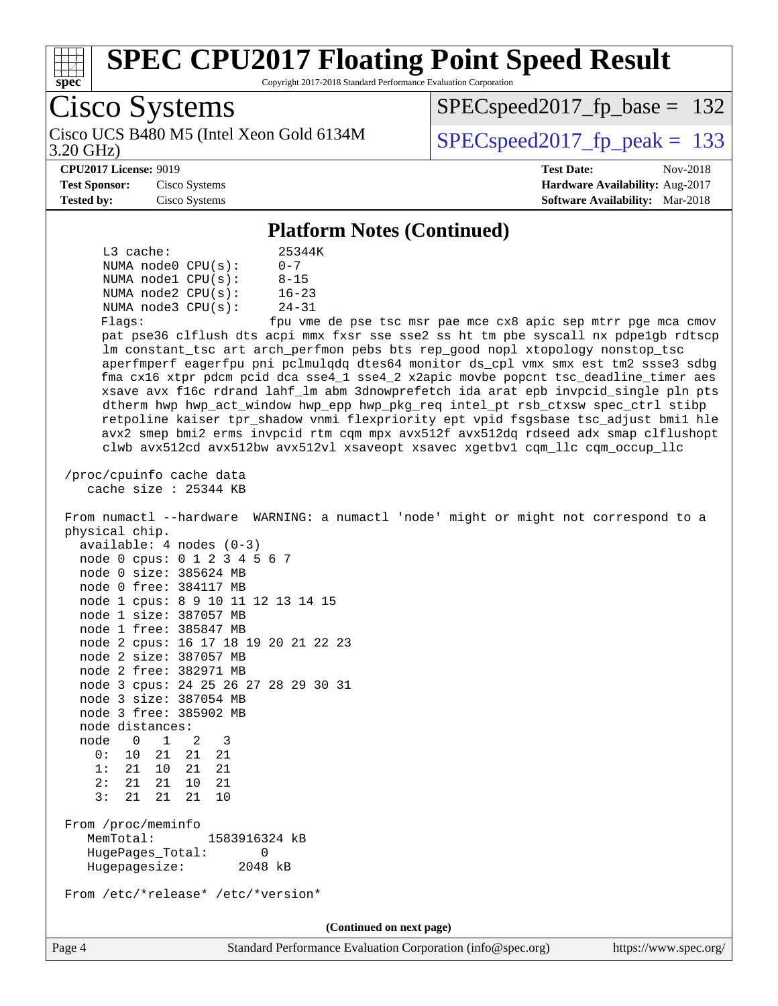

Copyright 2017-2018 Standard Performance Evaluation Corporation

|                   | <b>Cisco Systems</b>                                                                                                                                                                                                                                                                                                                                                                                                                                                                                                                                                                                                                                                                                                                                                                                                                                                                                                                                                                                                                                                                                                                                                                                                                                                                                                                                                                                                                                                                                                                                                                                                                                                                                                                                                                            | $SPEC speed2017_fp\_base = 132$                                                                     |  |  |  |  |  |  |  |
|-------------------|-------------------------------------------------------------------------------------------------------------------------------------------------------------------------------------------------------------------------------------------------------------------------------------------------------------------------------------------------------------------------------------------------------------------------------------------------------------------------------------------------------------------------------------------------------------------------------------------------------------------------------------------------------------------------------------------------------------------------------------------------------------------------------------------------------------------------------------------------------------------------------------------------------------------------------------------------------------------------------------------------------------------------------------------------------------------------------------------------------------------------------------------------------------------------------------------------------------------------------------------------------------------------------------------------------------------------------------------------------------------------------------------------------------------------------------------------------------------------------------------------------------------------------------------------------------------------------------------------------------------------------------------------------------------------------------------------------------------------------------------------------------------------------------------------|-----------------------------------------------------------------------------------------------------|--|--|--|--|--|--|--|
| 3.20 GHz)         | Cisco UCS B480 M5 (Intel Xeon Gold 6134M                                                                                                                                                                                                                                                                                                                                                                                                                                                                                                                                                                                                                                                                                                                                                                                                                                                                                                                                                                                                                                                                                                                                                                                                                                                                                                                                                                                                                                                                                                                                                                                                                                                                                                                                                        | $SPEC speed2017_fp\_peak = 133$                                                                     |  |  |  |  |  |  |  |
| <b>Tested by:</b> | <b>CPU2017 License: 9019</b><br><b>Test Sponsor:</b><br>Cisco Systems<br>Cisco Systems                                                                                                                                                                                                                                                                                                                                                                                                                                                                                                                                                                                                                                                                                                                                                                                                                                                                                                                                                                                                                                                                                                                                                                                                                                                                                                                                                                                                                                                                                                                                                                                                                                                                                                          | <b>Test Date:</b><br>Nov-2018<br>Hardware Availability: Aug-2017<br>Software Availability: Mar-2018 |  |  |  |  |  |  |  |
|                   | <b>Platform Notes (Continued)</b>                                                                                                                                                                                                                                                                                                                                                                                                                                                                                                                                                                                                                                                                                                                                                                                                                                                                                                                                                                                                                                                                                                                                                                                                                                                                                                                                                                                                                                                                                                                                                                                                                                                                                                                                                               |                                                                                                     |  |  |  |  |  |  |  |
|                   | L3 cache:<br>25344K<br>NUMA node0 CPU(s):<br>$0 - 7$<br>$8 - 15$<br>NUMA nodel $CPU(s):$<br>$16 - 23$<br>NUMA $node2$ $CPU(s):$<br>$24 - 31$<br>NUMA node3 CPU(s):<br>Flags:<br>pat pse36 clflush dts acpi mmx fxsr sse sse2 ss ht tm pbe syscall nx pdpelgb rdtscp<br>lm constant_tsc art arch_perfmon pebs bts rep_good nopl xtopology nonstop_tsc<br>aperfmperf eagerfpu pni pclmulqdq dtes64 monitor ds_cpl vmx smx est tm2 ssse3 sdbg<br>fma cx16 xtpr pdcm pcid dca sse4_1 sse4_2 x2apic movbe popcnt tsc_deadline_timer aes<br>xsave avx f16c rdrand lahf_lm abm 3dnowprefetch ida arat epb invpcid_single pln pts<br>dtherm hwp hwp_act_window hwp_epp hwp_pkg_req intel_pt rsb_ctxsw spec_ctrl stibp<br>retpoline kaiser tpr_shadow vnmi flexpriority ept vpid fsgsbase tsc_adjust bmil hle<br>avx2 smep bmi2 erms invpcid rtm cqm mpx avx512f avx512dq rdseed adx smap clflushopt<br>clwb avx512cd avx512bw avx512vl xsaveopt xsavec xgetbvl cqm_llc cqm_occup_llc<br>/proc/cpuinfo cache data<br>cache size $: 25344$ KB<br>From numactl --hardware WARNING: a numactl 'node' might or might not correspond to a<br>physical chip.<br>$available: 4 nodes (0-3)$<br>node 0 cpus: 0 1 2 3 4 5 6 7<br>node 0 size: 385624 MB<br>node 0 free: 384117 MB<br>node 1 cpus: 8 9 10 11 12 13 14 15<br>node 1 size: 387057 MB<br>node 1 free: 385847 MB<br>node 2 cpus: 16 17 18 19 20 21 22 23<br>node 2 size: 387057 MB<br>node 2 free: 382971 MB<br>node 3 cpus: 24 25 26 27 28 29 30 31<br>node 3 size: 387054 MB<br>node 3 free: 385902 MB<br>node distances:<br>node<br>$0 \t 1 \t 2$<br>3<br>0: 10 21 21 21<br>1: 21 10 21<br>21<br>2: 21 21 10 21<br>3:<br>21 21<br>10<br>21<br>From /proc/meminfo<br>MemTotal:<br>1583916324 kB<br>HugePages_Total:<br>0<br>Hugepagesize:<br>2048 kB | fpu vme de pse tsc msr pae mce cx8 apic sep mtrr pge mca cmov                                       |  |  |  |  |  |  |  |
|                   | From /etc/*release* /etc/*version*                                                                                                                                                                                                                                                                                                                                                                                                                                                                                                                                                                                                                                                                                                                                                                                                                                                                                                                                                                                                                                                                                                                                                                                                                                                                                                                                                                                                                                                                                                                                                                                                                                                                                                                                                              |                                                                                                     |  |  |  |  |  |  |  |
|                   | (Continued on next page)                                                                                                                                                                                                                                                                                                                                                                                                                                                                                                                                                                                                                                                                                                                                                                                                                                                                                                                                                                                                                                                                                                                                                                                                                                                                                                                                                                                                                                                                                                                                                                                                                                                                                                                                                                        |                                                                                                     |  |  |  |  |  |  |  |

Page 4 Standard Performance Evaluation Corporation [\(info@spec.org\)](mailto:info@spec.org) <https://www.spec.org/>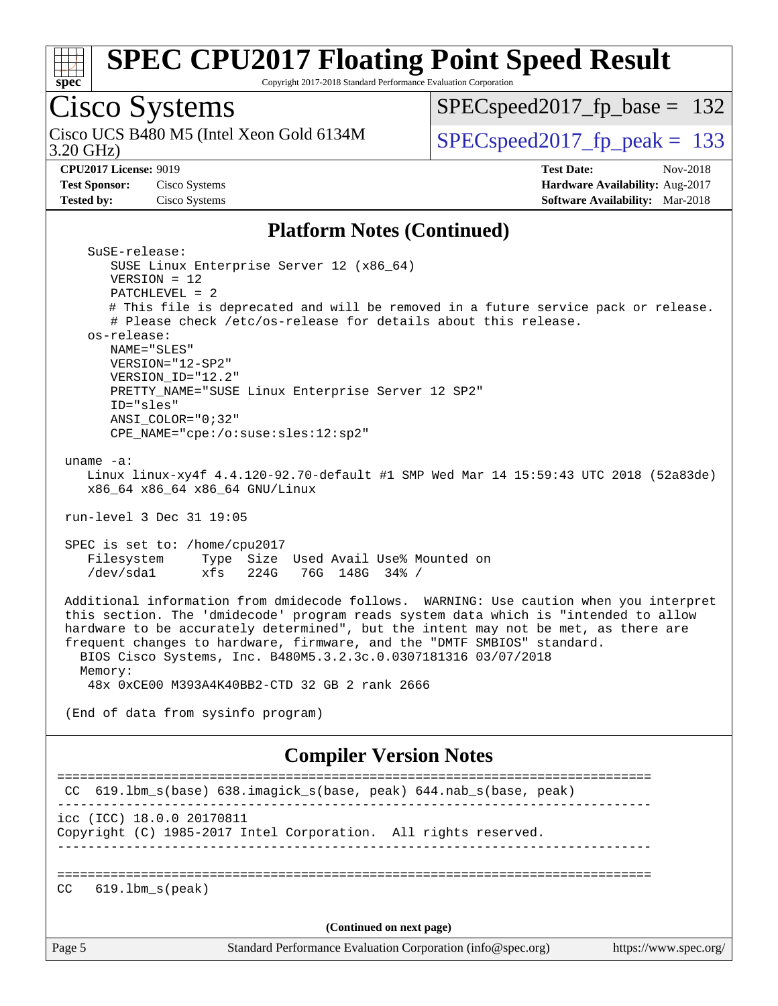

Copyright 2017-2018 Standard Performance Evaluation Corporation

# Cisco Systems

3.20 GHz) Cisco UCS B480 M5 (Intel Xeon Gold 6134M  $SPECspeed2017_fpcak = 133$ 

[SPECspeed2017\\_fp\\_base =](http://www.spec.org/auto/cpu2017/Docs/result-fields.html#SPECspeed2017fpbase) 132

**[Test Sponsor:](http://www.spec.org/auto/cpu2017/Docs/result-fields.html#TestSponsor)** Cisco Systems **[Hardware Availability:](http://www.spec.org/auto/cpu2017/Docs/result-fields.html#HardwareAvailability)** Aug-2017 **[Tested by:](http://www.spec.org/auto/cpu2017/Docs/result-fields.html#Testedby)** Cisco Systems **[Software Availability:](http://www.spec.org/auto/cpu2017/Docs/result-fields.html#SoftwareAvailability)** Mar-2018

**[CPU2017 License:](http://www.spec.org/auto/cpu2017/Docs/result-fields.html#CPU2017License)** 9019 **[Test Date:](http://www.spec.org/auto/cpu2017/Docs/result-fields.html#TestDate)** Nov-2018

#### **[Platform Notes \(Continued\)](http://www.spec.org/auto/cpu2017/Docs/result-fields.html#PlatformNotes)**

| Page 5                                                   | Standard Performance Evaluation Corporation (info@spec.org)                                                                                                                                                                                                                                                                                                                                                      | https://www.spec.org/ |
|----------------------------------------------------------|------------------------------------------------------------------------------------------------------------------------------------------------------------------------------------------------------------------------------------------------------------------------------------------------------------------------------------------------------------------------------------------------------------------|-----------------------|
|                                                          | (Continued on next page)                                                                                                                                                                                                                                                                                                                                                                                         |                       |
| $619.1$ bm $s$ (peak)<br>CC                              |                                                                                                                                                                                                                                                                                                                                                                                                                  |                       |
| icc (ICC) 18.0.0 20170811                                | Copyright (C) 1985-2017 Intel Corporation. All rights reserved.                                                                                                                                                                                                                                                                                                                                                  |                       |
| CC.                                                      | 619.1bm_s(base) 638.imagick_s(base, peak) 644.nab_s(base, peak)<br>------------------------                                                                                                                                                                                                                                                                                                                      |                       |
|                                                          | <b>Compiler Version Notes</b>                                                                                                                                                                                                                                                                                                                                                                                    |                       |
|                                                          | (End of data from sysinfo program)                                                                                                                                                                                                                                                                                                                                                                               |                       |
| Memory:                                                  | 48x 0xCE00 M393A4K40BB2-CTD 32 GB 2 rank 2666                                                                                                                                                                                                                                                                                                                                                                    |                       |
|                                                          | Additional information from dmidecode follows. WARNING: Use caution when you interpret<br>this section. The 'dmidecode' program reads system data which is "intended to allow<br>hardware to be accurately determined", but the intent may not be met, as there are<br>frequent changes to hardware, firmware, and the "DMTF SMBIOS" standard.<br>BIOS Cisco Systems, Inc. B480M5.3.2.3c.0.0307181316 03/07/2018 |                       |
| SPEC is set to: /home/cpu2017<br>Filesystem<br>/dev/sda1 | Type Size Used Avail Use% Mounted on<br>xfs<br>224G<br>76G 148G 34% /                                                                                                                                                                                                                                                                                                                                            |                       |
| run-level 3 Dec 31 19:05                                 |                                                                                                                                                                                                                                                                                                                                                                                                                  |                       |
| uname $-a$ :                                             | Linux linux-xy4f 4.4.120-92.70-default #1 SMP Wed Mar 14 15:59:43 UTC 2018 (52a83de)<br>x86_64 x86_64 x86_64 GNU/Linux                                                                                                                                                                                                                                                                                           |                       |
|                                                          | CPE_NAME="cpe:/o:suse:sles:12:sp2"                                                                                                                                                                                                                                                                                                                                                                               |                       |
| ID="sles"<br>ANSI COLOR="0;32"                           | PRETTY_NAME="SUSE Linux Enterprise Server 12 SP2"                                                                                                                                                                                                                                                                                                                                                                |                       |
| VERSION="12-SP2"<br>VERSION_ID="12.2"                    |                                                                                                                                                                                                                                                                                                                                                                                                                  |                       |
| os-release:<br>NAME="SLES"                               |                                                                                                                                                                                                                                                                                                                                                                                                                  |                       |
|                                                          | # This file is deprecated and will be removed in a future service pack or release.<br># Please check /etc/os-release for details about this release.                                                                                                                                                                                                                                                             |                       |
| $VERSION = 12$<br>$PATCHLEVEL = 2$                       |                                                                                                                                                                                                                                                                                                                                                                                                                  |                       |
| SuSE-release:                                            | SUSE Linux Enterprise Server 12 (x86_64)                                                                                                                                                                                                                                                                                                                                                                         |                       |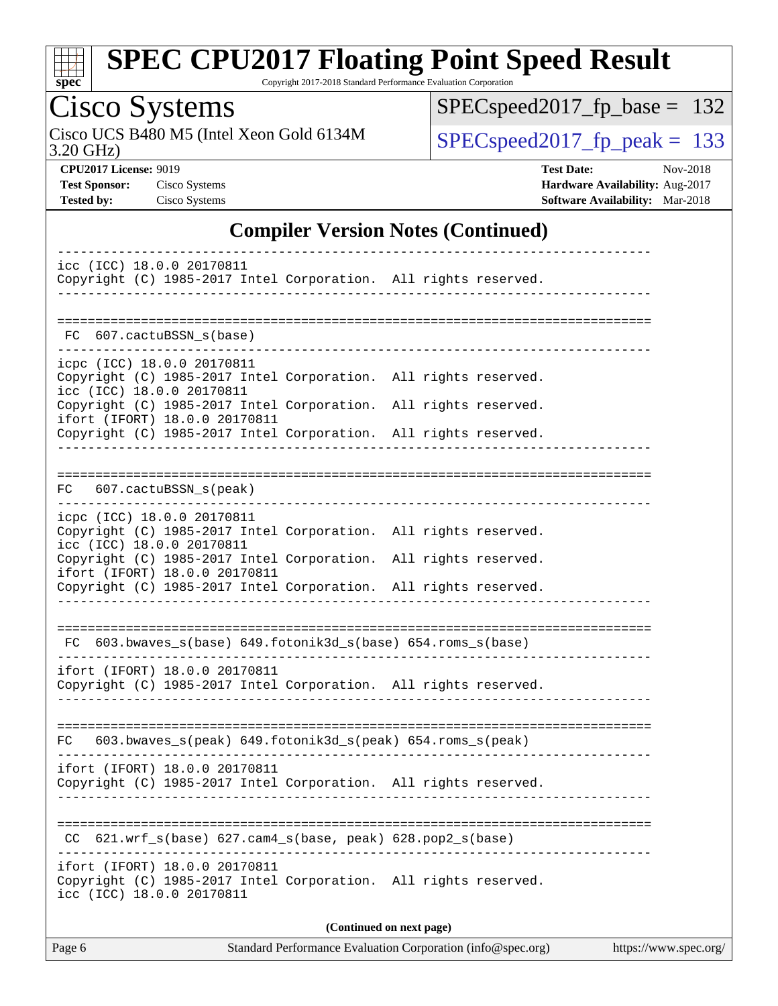

Copyright 2017-2018 Standard Performance Evaluation Corporation

# Cisco Systems

3.20 GHz) Cisco UCS B480 M5 (Intel Xeon Gold 6134M  $SPECspeed2017_fpcak = 133$ 

[SPECspeed2017\\_fp\\_base =](http://www.spec.org/auto/cpu2017/Docs/result-fields.html#SPECspeed2017fpbase) 132

**[CPU2017 License:](http://www.spec.org/auto/cpu2017/Docs/result-fields.html#CPU2017License)** 9019 **[Test Date:](http://www.spec.org/auto/cpu2017/Docs/result-fields.html#TestDate)** Nov-2018 **[Test Sponsor:](http://www.spec.org/auto/cpu2017/Docs/result-fields.html#TestSponsor)** Cisco Systems **[Hardware Availability:](http://www.spec.org/auto/cpu2017/Docs/result-fields.html#HardwareAvailability)** Aug-2017 **[Tested by:](http://www.spec.org/auto/cpu2017/Docs/result-fields.html#Testedby)** Cisco Systems **[Software Availability:](http://www.spec.org/auto/cpu2017/Docs/result-fields.html#SoftwareAvailability)** Mar-2018

#### **[Compiler Version Notes \(Continued\)](http://www.spec.org/auto/cpu2017/Docs/result-fields.html#CompilerVersionNotes)**

| icc (ICC) 18.0.0 20170811<br>Copyright (C) 1985-2017 Intel Corporation. All rights reserved.                                                                                                                                                                                                      |  |  |  |  |  |  |  |  |
|---------------------------------------------------------------------------------------------------------------------------------------------------------------------------------------------------------------------------------------------------------------------------------------------------|--|--|--|--|--|--|--|--|
| FC 607.cactuBSSN s(base)                                                                                                                                                                                                                                                                          |  |  |  |  |  |  |  |  |
| icpc (ICC) 18.0.0 20170811<br>Copyright (C) 1985-2017 Intel Corporation. All rights reserved.<br>icc (ICC) 18.0.0 20170811<br>Copyright (C) 1985-2017 Intel Corporation. All rights reserved.<br>ifort (IFORT) 18.0.0 20170811<br>Copyright (C) 1985-2017 Intel Corporation. All rights reserved. |  |  |  |  |  |  |  |  |
| 607.cactuBSSN_s(peak)<br>FC                                                                                                                                                                                                                                                                       |  |  |  |  |  |  |  |  |
| icpc (ICC) 18.0.0 20170811<br>Copyright (C) 1985-2017 Intel Corporation. All rights reserved.<br>icc (ICC) 18.0.0 20170811<br>Copyright (C) 1985-2017 Intel Corporation. All rights reserved.<br>ifort (IFORT) 18.0.0 20170811<br>Copyright (C) 1985-2017 Intel Corporation. All rights reserved. |  |  |  |  |  |  |  |  |
| FC 603.bwaves_s(base) 649.fotonik3d_s(base) 654.roms_s(base)<br>ifort (IFORT) 18.0.0 20170811<br>Copyright (C) 1985-2017 Intel Corporation. All rights reserved.                                                                                                                                  |  |  |  |  |  |  |  |  |
| $FC$ 603.bwaves_s(peak) 649.fotonik3d_s(peak) 654.roms_s(peak)                                                                                                                                                                                                                                    |  |  |  |  |  |  |  |  |
| ifort (IFORT) 18.0.0 20170811<br>Copyright (C) 1985-2017 Intel Corporation. All rights reserved.                                                                                                                                                                                                  |  |  |  |  |  |  |  |  |
| CC 621.wrf_s(base) 627.cam4_s(base, peak) 628.pop2_s(base)                                                                                                                                                                                                                                        |  |  |  |  |  |  |  |  |
| ifort (IFORT) 18.0.0 20170811<br>Copyright (C) 1985-2017 Intel Corporation. All rights reserved.<br>icc (ICC) 18.0.0 20170811                                                                                                                                                                     |  |  |  |  |  |  |  |  |
| (Continued on next page)                                                                                                                                                                                                                                                                          |  |  |  |  |  |  |  |  |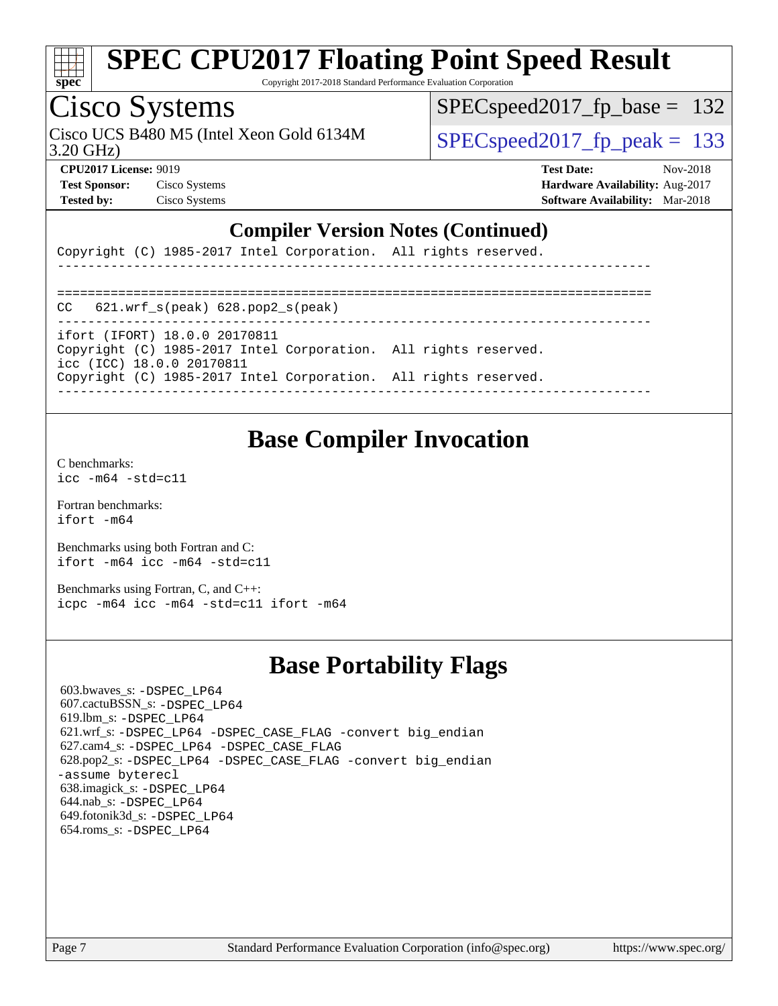

Copyright 2017-2018 Standard Performance Evaluation Corporation

### Cisco Systems

3.20 GHz) Cisco UCS B480 M5 (Intel Xeon Gold 6134M  $SPEC speed2017$  fp\_peak = 133

 $SPEC speed2017_fp\_base = 132$ 

**[Test Sponsor:](http://www.spec.org/auto/cpu2017/Docs/result-fields.html#TestSponsor)** Cisco Systems **[Hardware Availability:](http://www.spec.org/auto/cpu2017/Docs/result-fields.html#HardwareAvailability)** Aug-2017

**[CPU2017 License:](http://www.spec.org/auto/cpu2017/Docs/result-fields.html#CPU2017License)** 9019 **[Test Date:](http://www.spec.org/auto/cpu2017/Docs/result-fields.html#TestDate)** Nov-2018 **[Tested by:](http://www.spec.org/auto/cpu2017/Docs/result-fields.html#Testedby)** Cisco Systems **[Software Availability:](http://www.spec.org/auto/cpu2017/Docs/result-fields.html#SoftwareAvailability)** Mar-2018

#### **[Compiler Version Notes \(Continued\)](http://www.spec.org/auto/cpu2017/Docs/result-fields.html#CompilerVersionNotes)**

Copyright (C) 1985-2017 Intel Corporation. All rights reserved.

============================================================================== CC 621.wrf\_s(peak) 628.pop2\_s(peak) ----------------------------------------------------------------------------- ifort (IFORT) 18.0.0 20170811 Copyright (C) 1985-2017 Intel Corporation. All rights reserved. icc (ICC) 18.0.0 20170811 Copyright (C) 1985-2017 Intel Corporation. All rights reserved. ------------------------------------------------------------------------------

------------------------------------------------------------------------------

#### **[Base Compiler Invocation](http://www.spec.org/auto/cpu2017/Docs/result-fields.html#BaseCompilerInvocation)**

[C benchmarks](http://www.spec.org/auto/cpu2017/Docs/result-fields.html#Cbenchmarks): [icc -m64 -std=c11](http://www.spec.org/cpu2017/results/res2018q4/cpu2017-20181113-09721.flags.html#user_CCbase_intel_icc_64bit_c11_33ee0cdaae7deeeab2a9725423ba97205ce30f63b9926c2519791662299b76a0318f32ddfffdc46587804de3178b4f9328c46fa7c2b0cd779d7a61945c91cd35)

[Fortran benchmarks](http://www.spec.org/auto/cpu2017/Docs/result-fields.html#Fortranbenchmarks): [ifort -m64](http://www.spec.org/cpu2017/results/res2018q4/cpu2017-20181113-09721.flags.html#user_FCbase_intel_ifort_64bit_24f2bb282fbaeffd6157abe4f878425411749daecae9a33200eee2bee2fe76f3b89351d69a8130dd5949958ce389cf37ff59a95e7a40d588e8d3a57e0c3fd751)

[Benchmarks using both Fortran and C](http://www.spec.org/auto/cpu2017/Docs/result-fields.html#BenchmarksusingbothFortranandC): [ifort -m64](http://www.spec.org/cpu2017/results/res2018q4/cpu2017-20181113-09721.flags.html#user_CC_FCbase_intel_ifort_64bit_24f2bb282fbaeffd6157abe4f878425411749daecae9a33200eee2bee2fe76f3b89351d69a8130dd5949958ce389cf37ff59a95e7a40d588e8d3a57e0c3fd751) [icc -m64 -std=c11](http://www.spec.org/cpu2017/results/res2018q4/cpu2017-20181113-09721.flags.html#user_CC_FCbase_intel_icc_64bit_c11_33ee0cdaae7deeeab2a9725423ba97205ce30f63b9926c2519791662299b76a0318f32ddfffdc46587804de3178b4f9328c46fa7c2b0cd779d7a61945c91cd35)

[Benchmarks using Fortran, C, and C++:](http://www.spec.org/auto/cpu2017/Docs/result-fields.html#BenchmarksusingFortranCandCXX) [icpc -m64](http://www.spec.org/cpu2017/results/res2018q4/cpu2017-20181113-09721.flags.html#user_CC_CXX_FCbase_intel_icpc_64bit_4ecb2543ae3f1412ef961e0650ca070fec7b7afdcd6ed48761b84423119d1bf6bdf5cad15b44d48e7256388bc77273b966e5eb805aefd121eb22e9299b2ec9d9) [icc -m64 -std=c11](http://www.spec.org/cpu2017/results/res2018q4/cpu2017-20181113-09721.flags.html#user_CC_CXX_FCbase_intel_icc_64bit_c11_33ee0cdaae7deeeab2a9725423ba97205ce30f63b9926c2519791662299b76a0318f32ddfffdc46587804de3178b4f9328c46fa7c2b0cd779d7a61945c91cd35) [ifort -m64](http://www.spec.org/cpu2017/results/res2018q4/cpu2017-20181113-09721.flags.html#user_CC_CXX_FCbase_intel_ifort_64bit_24f2bb282fbaeffd6157abe4f878425411749daecae9a33200eee2bee2fe76f3b89351d69a8130dd5949958ce389cf37ff59a95e7a40d588e8d3a57e0c3fd751)

#### **[Base Portability Flags](http://www.spec.org/auto/cpu2017/Docs/result-fields.html#BasePortabilityFlags)**

 603.bwaves\_s: [-DSPEC\\_LP64](http://www.spec.org/cpu2017/results/res2018q4/cpu2017-20181113-09721.flags.html#suite_basePORTABILITY603_bwaves_s_DSPEC_LP64) 607.cactuBSSN\_s: [-DSPEC\\_LP64](http://www.spec.org/cpu2017/results/res2018q4/cpu2017-20181113-09721.flags.html#suite_basePORTABILITY607_cactuBSSN_s_DSPEC_LP64) 619.lbm\_s: [-DSPEC\\_LP64](http://www.spec.org/cpu2017/results/res2018q4/cpu2017-20181113-09721.flags.html#suite_basePORTABILITY619_lbm_s_DSPEC_LP64) 621.wrf\_s: [-DSPEC\\_LP64](http://www.spec.org/cpu2017/results/res2018q4/cpu2017-20181113-09721.flags.html#suite_basePORTABILITY621_wrf_s_DSPEC_LP64) [-DSPEC\\_CASE\\_FLAG](http://www.spec.org/cpu2017/results/res2018q4/cpu2017-20181113-09721.flags.html#b621.wrf_s_baseCPORTABILITY_DSPEC_CASE_FLAG) [-convert big\\_endian](http://www.spec.org/cpu2017/results/res2018q4/cpu2017-20181113-09721.flags.html#user_baseFPORTABILITY621_wrf_s_convert_big_endian_c3194028bc08c63ac5d04de18c48ce6d347e4e562e8892b8bdbdc0214820426deb8554edfa529a3fb25a586e65a3d812c835984020483e7e73212c4d31a38223) 627.cam4\_s: [-DSPEC\\_LP64](http://www.spec.org/cpu2017/results/res2018q4/cpu2017-20181113-09721.flags.html#suite_basePORTABILITY627_cam4_s_DSPEC_LP64) [-DSPEC\\_CASE\\_FLAG](http://www.spec.org/cpu2017/results/res2018q4/cpu2017-20181113-09721.flags.html#b627.cam4_s_baseCPORTABILITY_DSPEC_CASE_FLAG) 628.pop2\_s: [-DSPEC\\_LP64](http://www.spec.org/cpu2017/results/res2018q4/cpu2017-20181113-09721.flags.html#suite_basePORTABILITY628_pop2_s_DSPEC_LP64) [-DSPEC\\_CASE\\_FLAG](http://www.spec.org/cpu2017/results/res2018q4/cpu2017-20181113-09721.flags.html#b628.pop2_s_baseCPORTABILITY_DSPEC_CASE_FLAG) [-convert big\\_endian](http://www.spec.org/cpu2017/results/res2018q4/cpu2017-20181113-09721.flags.html#user_baseFPORTABILITY628_pop2_s_convert_big_endian_c3194028bc08c63ac5d04de18c48ce6d347e4e562e8892b8bdbdc0214820426deb8554edfa529a3fb25a586e65a3d812c835984020483e7e73212c4d31a38223) [-assume byterecl](http://www.spec.org/cpu2017/results/res2018q4/cpu2017-20181113-09721.flags.html#user_baseFPORTABILITY628_pop2_s_assume_byterecl_7e47d18b9513cf18525430bbf0f2177aa9bf368bc7a059c09b2c06a34b53bd3447c950d3f8d6c70e3faf3a05c8557d66a5798b567902e8849adc142926523472) 638.imagick\_s: [-DSPEC\\_LP64](http://www.spec.org/cpu2017/results/res2018q4/cpu2017-20181113-09721.flags.html#suite_basePORTABILITY638_imagick_s_DSPEC_LP64) 644.nab\_s: [-DSPEC\\_LP64](http://www.spec.org/cpu2017/results/res2018q4/cpu2017-20181113-09721.flags.html#suite_basePORTABILITY644_nab_s_DSPEC_LP64) 649.fotonik3d\_s: [-DSPEC\\_LP64](http://www.spec.org/cpu2017/results/res2018q4/cpu2017-20181113-09721.flags.html#suite_basePORTABILITY649_fotonik3d_s_DSPEC_LP64) 654.roms\_s: [-DSPEC\\_LP64](http://www.spec.org/cpu2017/results/res2018q4/cpu2017-20181113-09721.flags.html#suite_basePORTABILITY654_roms_s_DSPEC_LP64)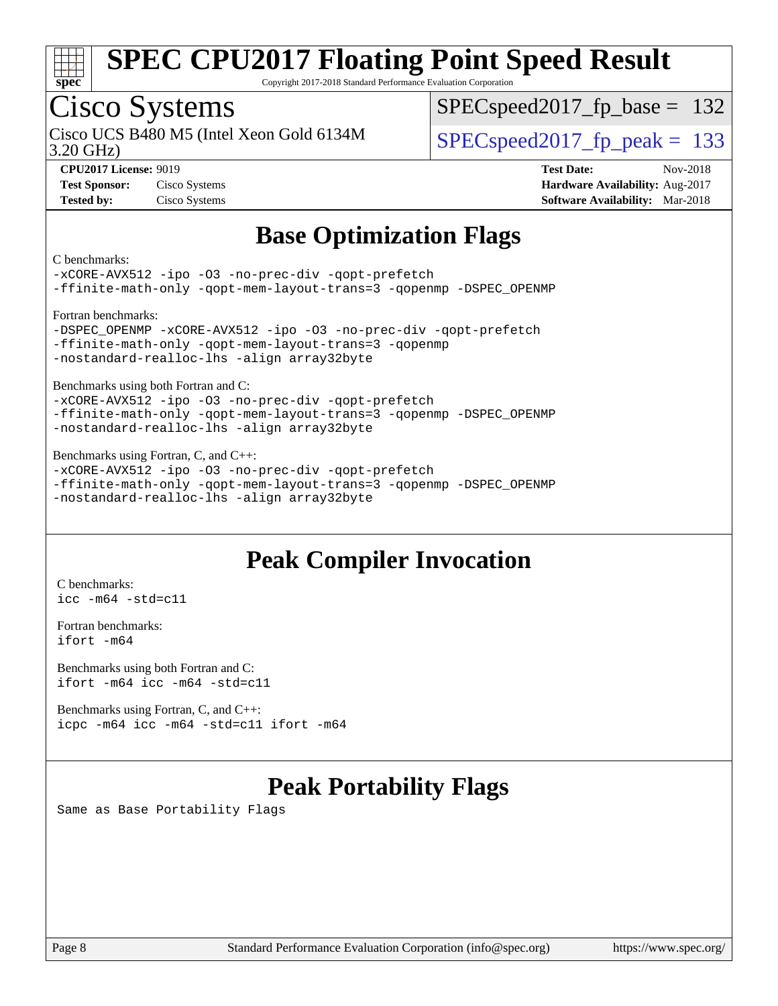

Copyright 2017-2018 Standard Performance Evaluation Corporation

## Cisco Systems

3.20 GHz) Cisco UCS B480 M5 (Intel Xeon Gold 6134M  $SPEC speed2017$  fp\_peak = 133

SPECspeed2017 fp base =  $132$ 

**[Test Sponsor:](http://www.spec.org/auto/cpu2017/Docs/result-fields.html#TestSponsor)** Cisco Systems **[Hardware Availability:](http://www.spec.org/auto/cpu2017/Docs/result-fields.html#HardwareAvailability)** Aug-2017 **[Tested by:](http://www.spec.org/auto/cpu2017/Docs/result-fields.html#Testedby)** Cisco Systems **[Software Availability:](http://www.spec.org/auto/cpu2017/Docs/result-fields.html#SoftwareAvailability)** Mar-2018

**[CPU2017 License:](http://www.spec.org/auto/cpu2017/Docs/result-fields.html#CPU2017License)** 9019 **[Test Date:](http://www.spec.org/auto/cpu2017/Docs/result-fields.html#TestDate)** Nov-2018

#### **[Base Optimization Flags](http://www.spec.org/auto/cpu2017/Docs/result-fields.html#BaseOptimizationFlags)**

[C benchmarks](http://www.spec.org/auto/cpu2017/Docs/result-fields.html#Cbenchmarks):

[-xCORE-AVX512](http://www.spec.org/cpu2017/results/res2018q4/cpu2017-20181113-09721.flags.html#user_CCbase_f-xCORE-AVX512) [-ipo](http://www.spec.org/cpu2017/results/res2018q4/cpu2017-20181113-09721.flags.html#user_CCbase_f-ipo) [-O3](http://www.spec.org/cpu2017/results/res2018q4/cpu2017-20181113-09721.flags.html#user_CCbase_f-O3) [-no-prec-div](http://www.spec.org/cpu2017/results/res2018q4/cpu2017-20181113-09721.flags.html#user_CCbase_f-no-prec-div) [-qopt-prefetch](http://www.spec.org/cpu2017/results/res2018q4/cpu2017-20181113-09721.flags.html#user_CCbase_f-qopt-prefetch) [-ffinite-math-only](http://www.spec.org/cpu2017/results/res2018q4/cpu2017-20181113-09721.flags.html#user_CCbase_f_finite_math_only_cb91587bd2077682c4b38af759c288ed7c732db004271a9512da14a4f8007909a5f1427ecbf1a0fb78ff2a814402c6114ac565ca162485bbcae155b5e4258871) [-qopt-mem-layout-trans=3](http://www.spec.org/cpu2017/results/res2018q4/cpu2017-20181113-09721.flags.html#user_CCbase_f-qopt-mem-layout-trans_de80db37974c74b1f0e20d883f0b675c88c3b01e9d123adea9b28688d64333345fb62bc4a798493513fdb68f60282f9a726aa07f478b2f7113531aecce732043) [-qopenmp](http://www.spec.org/cpu2017/results/res2018q4/cpu2017-20181113-09721.flags.html#user_CCbase_qopenmp_16be0c44f24f464004c6784a7acb94aca937f053568ce72f94b139a11c7c168634a55f6653758ddd83bcf7b8463e8028bb0b48b77bcddc6b78d5d95bb1df2967) [-DSPEC\\_OPENMP](http://www.spec.org/cpu2017/results/res2018q4/cpu2017-20181113-09721.flags.html#suite_CCbase_DSPEC_OPENMP) [Fortran benchmarks:](http://www.spec.org/auto/cpu2017/Docs/result-fields.html#Fortranbenchmarks) [-DSPEC\\_OPENMP](http://www.spec.org/cpu2017/results/res2018q4/cpu2017-20181113-09721.flags.html#suite_FCbase_DSPEC_OPENMP) [-xCORE-AVX512](http://www.spec.org/cpu2017/results/res2018q4/cpu2017-20181113-09721.flags.html#user_FCbase_f-xCORE-AVX512) [-ipo](http://www.spec.org/cpu2017/results/res2018q4/cpu2017-20181113-09721.flags.html#user_FCbase_f-ipo) [-O3](http://www.spec.org/cpu2017/results/res2018q4/cpu2017-20181113-09721.flags.html#user_FCbase_f-O3) [-no-prec-div](http://www.spec.org/cpu2017/results/res2018q4/cpu2017-20181113-09721.flags.html#user_FCbase_f-no-prec-div) [-qopt-prefetch](http://www.spec.org/cpu2017/results/res2018q4/cpu2017-20181113-09721.flags.html#user_FCbase_f-qopt-prefetch) [-ffinite-math-only](http://www.spec.org/cpu2017/results/res2018q4/cpu2017-20181113-09721.flags.html#user_FCbase_f_finite_math_only_cb91587bd2077682c4b38af759c288ed7c732db004271a9512da14a4f8007909a5f1427ecbf1a0fb78ff2a814402c6114ac565ca162485bbcae155b5e4258871) [-qopt-mem-layout-trans=3](http://www.spec.org/cpu2017/results/res2018q4/cpu2017-20181113-09721.flags.html#user_FCbase_f-qopt-mem-layout-trans_de80db37974c74b1f0e20d883f0b675c88c3b01e9d123adea9b28688d64333345fb62bc4a798493513fdb68f60282f9a726aa07f478b2f7113531aecce732043) [-qopenmp](http://www.spec.org/cpu2017/results/res2018q4/cpu2017-20181113-09721.flags.html#user_FCbase_qopenmp_16be0c44f24f464004c6784a7acb94aca937f053568ce72f94b139a11c7c168634a55f6653758ddd83bcf7b8463e8028bb0b48b77bcddc6b78d5d95bb1df2967) [-nostandard-realloc-lhs](http://www.spec.org/cpu2017/results/res2018q4/cpu2017-20181113-09721.flags.html#user_FCbase_f_2003_std_realloc_82b4557e90729c0f113870c07e44d33d6f5a304b4f63d4c15d2d0f1fab99f5daaed73bdb9275d9ae411527f28b936061aa8b9c8f2d63842963b95c9dd6426b8a) [-align array32byte](http://www.spec.org/cpu2017/results/res2018q4/cpu2017-20181113-09721.flags.html#user_FCbase_align_array32byte_b982fe038af199962ba9a80c053b8342c548c85b40b8e86eb3cc33dee0d7986a4af373ac2d51c3f7cf710a18d62fdce2948f201cd044323541f22fc0fffc51b6) [Benchmarks using both Fortran and C](http://www.spec.org/auto/cpu2017/Docs/result-fields.html#BenchmarksusingbothFortranandC): [-xCORE-AVX512](http://www.spec.org/cpu2017/results/res2018q4/cpu2017-20181113-09721.flags.html#user_CC_FCbase_f-xCORE-AVX512) [-ipo](http://www.spec.org/cpu2017/results/res2018q4/cpu2017-20181113-09721.flags.html#user_CC_FCbase_f-ipo) [-O3](http://www.spec.org/cpu2017/results/res2018q4/cpu2017-20181113-09721.flags.html#user_CC_FCbase_f-O3) [-no-prec-div](http://www.spec.org/cpu2017/results/res2018q4/cpu2017-20181113-09721.flags.html#user_CC_FCbase_f-no-prec-div) [-qopt-prefetch](http://www.spec.org/cpu2017/results/res2018q4/cpu2017-20181113-09721.flags.html#user_CC_FCbase_f-qopt-prefetch) [-ffinite-math-only](http://www.spec.org/cpu2017/results/res2018q4/cpu2017-20181113-09721.flags.html#user_CC_FCbase_f_finite_math_only_cb91587bd2077682c4b38af759c288ed7c732db004271a9512da14a4f8007909a5f1427ecbf1a0fb78ff2a814402c6114ac565ca162485bbcae155b5e4258871) [-qopt-mem-layout-trans=3](http://www.spec.org/cpu2017/results/res2018q4/cpu2017-20181113-09721.flags.html#user_CC_FCbase_f-qopt-mem-layout-trans_de80db37974c74b1f0e20d883f0b675c88c3b01e9d123adea9b28688d64333345fb62bc4a798493513fdb68f60282f9a726aa07f478b2f7113531aecce732043) [-qopenmp](http://www.spec.org/cpu2017/results/res2018q4/cpu2017-20181113-09721.flags.html#user_CC_FCbase_qopenmp_16be0c44f24f464004c6784a7acb94aca937f053568ce72f94b139a11c7c168634a55f6653758ddd83bcf7b8463e8028bb0b48b77bcddc6b78d5d95bb1df2967) [-DSPEC\\_OPENMP](http://www.spec.org/cpu2017/results/res2018q4/cpu2017-20181113-09721.flags.html#suite_CC_FCbase_DSPEC_OPENMP)

[-nostandard-realloc-lhs](http://www.spec.org/cpu2017/results/res2018q4/cpu2017-20181113-09721.flags.html#user_CC_FCbase_f_2003_std_realloc_82b4557e90729c0f113870c07e44d33d6f5a304b4f63d4c15d2d0f1fab99f5daaed73bdb9275d9ae411527f28b936061aa8b9c8f2d63842963b95c9dd6426b8a) [-align array32byte](http://www.spec.org/cpu2017/results/res2018q4/cpu2017-20181113-09721.flags.html#user_CC_FCbase_align_array32byte_b982fe038af199962ba9a80c053b8342c548c85b40b8e86eb3cc33dee0d7986a4af373ac2d51c3f7cf710a18d62fdce2948f201cd044323541f22fc0fffc51b6) [Benchmarks using Fortran, C, and C++](http://www.spec.org/auto/cpu2017/Docs/result-fields.html#BenchmarksusingFortranCandCXX):

[-xCORE-AVX512](http://www.spec.org/cpu2017/results/res2018q4/cpu2017-20181113-09721.flags.html#user_CC_CXX_FCbase_f-xCORE-AVX512) [-ipo](http://www.spec.org/cpu2017/results/res2018q4/cpu2017-20181113-09721.flags.html#user_CC_CXX_FCbase_f-ipo) [-O3](http://www.spec.org/cpu2017/results/res2018q4/cpu2017-20181113-09721.flags.html#user_CC_CXX_FCbase_f-O3) [-no-prec-div](http://www.spec.org/cpu2017/results/res2018q4/cpu2017-20181113-09721.flags.html#user_CC_CXX_FCbase_f-no-prec-div) [-qopt-prefetch](http://www.spec.org/cpu2017/results/res2018q4/cpu2017-20181113-09721.flags.html#user_CC_CXX_FCbase_f-qopt-prefetch) [-ffinite-math-only](http://www.spec.org/cpu2017/results/res2018q4/cpu2017-20181113-09721.flags.html#user_CC_CXX_FCbase_f_finite_math_only_cb91587bd2077682c4b38af759c288ed7c732db004271a9512da14a4f8007909a5f1427ecbf1a0fb78ff2a814402c6114ac565ca162485bbcae155b5e4258871) [-qopt-mem-layout-trans=3](http://www.spec.org/cpu2017/results/res2018q4/cpu2017-20181113-09721.flags.html#user_CC_CXX_FCbase_f-qopt-mem-layout-trans_de80db37974c74b1f0e20d883f0b675c88c3b01e9d123adea9b28688d64333345fb62bc4a798493513fdb68f60282f9a726aa07f478b2f7113531aecce732043) [-qopenmp](http://www.spec.org/cpu2017/results/res2018q4/cpu2017-20181113-09721.flags.html#user_CC_CXX_FCbase_qopenmp_16be0c44f24f464004c6784a7acb94aca937f053568ce72f94b139a11c7c168634a55f6653758ddd83bcf7b8463e8028bb0b48b77bcddc6b78d5d95bb1df2967) [-DSPEC\\_OPENMP](http://www.spec.org/cpu2017/results/res2018q4/cpu2017-20181113-09721.flags.html#suite_CC_CXX_FCbase_DSPEC_OPENMP) [-nostandard-realloc-lhs](http://www.spec.org/cpu2017/results/res2018q4/cpu2017-20181113-09721.flags.html#user_CC_CXX_FCbase_f_2003_std_realloc_82b4557e90729c0f113870c07e44d33d6f5a304b4f63d4c15d2d0f1fab99f5daaed73bdb9275d9ae411527f28b936061aa8b9c8f2d63842963b95c9dd6426b8a) [-align array32byte](http://www.spec.org/cpu2017/results/res2018q4/cpu2017-20181113-09721.flags.html#user_CC_CXX_FCbase_align_array32byte_b982fe038af199962ba9a80c053b8342c548c85b40b8e86eb3cc33dee0d7986a4af373ac2d51c3f7cf710a18d62fdce2948f201cd044323541f22fc0fffc51b6)

#### **[Peak Compiler Invocation](http://www.spec.org/auto/cpu2017/Docs/result-fields.html#PeakCompilerInvocation)**

[C benchmarks](http://www.spec.org/auto/cpu2017/Docs/result-fields.html#Cbenchmarks): [icc -m64 -std=c11](http://www.spec.org/cpu2017/results/res2018q4/cpu2017-20181113-09721.flags.html#user_CCpeak_intel_icc_64bit_c11_33ee0cdaae7deeeab2a9725423ba97205ce30f63b9926c2519791662299b76a0318f32ddfffdc46587804de3178b4f9328c46fa7c2b0cd779d7a61945c91cd35)

[Fortran benchmarks](http://www.spec.org/auto/cpu2017/Docs/result-fields.html#Fortranbenchmarks): [ifort -m64](http://www.spec.org/cpu2017/results/res2018q4/cpu2017-20181113-09721.flags.html#user_FCpeak_intel_ifort_64bit_24f2bb282fbaeffd6157abe4f878425411749daecae9a33200eee2bee2fe76f3b89351d69a8130dd5949958ce389cf37ff59a95e7a40d588e8d3a57e0c3fd751)

[Benchmarks using both Fortran and C](http://www.spec.org/auto/cpu2017/Docs/result-fields.html#BenchmarksusingbothFortranandC): [ifort -m64](http://www.spec.org/cpu2017/results/res2018q4/cpu2017-20181113-09721.flags.html#user_CC_FCpeak_intel_ifort_64bit_24f2bb282fbaeffd6157abe4f878425411749daecae9a33200eee2bee2fe76f3b89351d69a8130dd5949958ce389cf37ff59a95e7a40d588e8d3a57e0c3fd751) [icc -m64 -std=c11](http://www.spec.org/cpu2017/results/res2018q4/cpu2017-20181113-09721.flags.html#user_CC_FCpeak_intel_icc_64bit_c11_33ee0cdaae7deeeab2a9725423ba97205ce30f63b9926c2519791662299b76a0318f32ddfffdc46587804de3178b4f9328c46fa7c2b0cd779d7a61945c91cd35)

[Benchmarks using Fortran, C, and C++:](http://www.spec.org/auto/cpu2017/Docs/result-fields.html#BenchmarksusingFortranCandCXX) [icpc -m64](http://www.spec.org/cpu2017/results/res2018q4/cpu2017-20181113-09721.flags.html#user_CC_CXX_FCpeak_intel_icpc_64bit_4ecb2543ae3f1412ef961e0650ca070fec7b7afdcd6ed48761b84423119d1bf6bdf5cad15b44d48e7256388bc77273b966e5eb805aefd121eb22e9299b2ec9d9) [icc -m64 -std=c11](http://www.spec.org/cpu2017/results/res2018q4/cpu2017-20181113-09721.flags.html#user_CC_CXX_FCpeak_intel_icc_64bit_c11_33ee0cdaae7deeeab2a9725423ba97205ce30f63b9926c2519791662299b76a0318f32ddfffdc46587804de3178b4f9328c46fa7c2b0cd779d7a61945c91cd35) [ifort -m64](http://www.spec.org/cpu2017/results/res2018q4/cpu2017-20181113-09721.flags.html#user_CC_CXX_FCpeak_intel_ifort_64bit_24f2bb282fbaeffd6157abe4f878425411749daecae9a33200eee2bee2fe76f3b89351d69a8130dd5949958ce389cf37ff59a95e7a40d588e8d3a57e0c3fd751)

### **[Peak Portability Flags](http://www.spec.org/auto/cpu2017/Docs/result-fields.html#PeakPortabilityFlags)**

Same as Base Portability Flags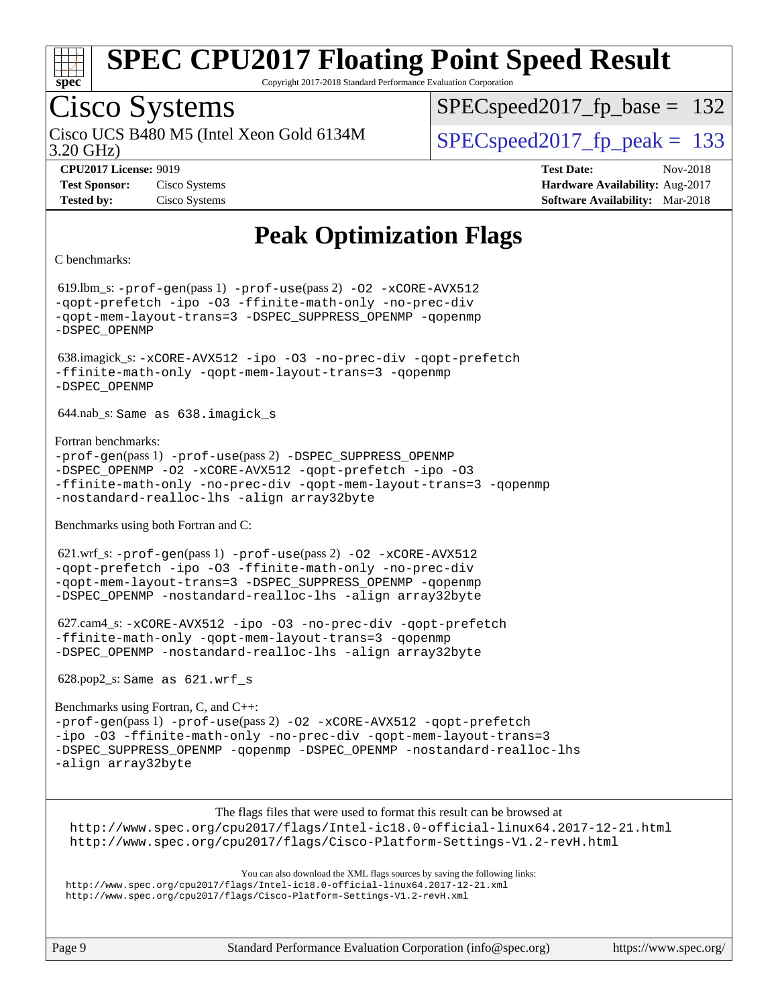

Copyright 2017-2018 Standard Performance Evaluation Corporation

## Cisco Systems

3.20 GHz) Cisco UCS B480 M5 (Intel Xeon Gold 6134M  $SPEC speed2017$  fp\_peak = 133

SPECspeed2017 fp base =  $132$ 

**[CPU2017 License:](http://www.spec.org/auto/cpu2017/Docs/result-fields.html#CPU2017License)** 9019 **[Test Date:](http://www.spec.org/auto/cpu2017/Docs/result-fields.html#TestDate)** Nov-2018 **[Test Sponsor:](http://www.spec.org/auto/cpu2017/Docs/result-fields.html#TestSponsor)** Cisco Systems **[Hardware Availability:](http://www.spec.org/auto/cpu2017/Docs/result-fields.html#HardwareAvailability)** Aug-2017 **[Tested by:](http://www.spec.org/auto/cpu2017/Docs/result-fields.html#Testedby)** Cisco Systems **[Software Availability:](http://www.spec.org/auto/cpu2017/Docs/result-fields.html#SoftwareAvailability)** Mar-2018

#### **[Peak Optimization Flags](http://www.spec.org/auto/cpu2017/Docs/result-fields.html#PeakOptimizationFlags)**

[C benchmarks:](http://www.spec.org/auto/cpu2017/Docs/result-fields.html#Cbenchmarks)

 619.lbm\_s: [-prof-gen](http://www.spec.org/cpu2017/results/res2018q4/cpu2017-20181113-09721.flags.html#user_peakPASS1_CFLAGSPASS1_LDFLAGS619_lbm_s_prof_gen_5aa4926d6013ddb2a31985c654b3eb18169fc0c6952a63635c234f711e6e63dd76e94ad52365559451ec499a2cdb89e4dc58ba4c67ef54ca681ffbe1461d6b36)(pass 1) [-prof-use](http://www.spec.org/cpu2017/results/res2018q4/cpu2017-20181113-09721.flags.html#user_peakPASS2_CFLAGSPASS2_LDFLAGS619_lbm_s_prof_use_1a21ceae95f36a2b53c25747139a6c16ca95bd9def2a207b4f0849963b97e94f5260e30a0c64f4bb623698870e679ca08317ef8150905d41bd88c6f78df73f19)(pass 2) [-O2](http://www.spec.org/cpu2017/results/res2018q4/cpu2017-20181113-09721.flags.html#user_peakPASS1_COPTIMIZE619_lbm_s_f-O2) [-xCORE-AVX512](http://www.spec.org/cpu2017/results/res2018q4/cpu2017-20181113-09721.flags.html#user_peakPASS2_COPTIMIZE619_lbm_s_f-xCORE-AVX512) [-qopt-prefetch](http://www.spec.org/cpu2017/results/res2018q4/cpu2017-20181113-09721.flags.html#user_peakPASS1_COPTIMIZEPASS2_COPTIMIZE619_lbm_s_f-qopt-prefetch) [-ipo](http://www.spec.org/cpu2017/results/res2018q4/cpu2017-20181113-09721.flags.html#user_peakPASS2_COPTIMIZE619_lbm_s_f-ipo) [-O3](http://www.spec.org/cpu2017/results/res2018q4/cpu2017-20181113-09721.flags.html#user_peakPASS2_COPTIMIZE619_lbm_s_f-O3) [-ffinite-math-only](http://www.spec.org/cpu2017/results/res2018q4/cpu2017-20181113-09721.flags.html#user_peakPASS1_COPTIMIZEPASS2_COPTIMIZE619_lbm_s_f_finite_math_only_cb91587bd2077682c4b38af759c288ed7c732db004271a9512da14a4f8007909a5f1427ecbf1a0fb78ff2a814402c6114ac565ca162485bbcae155b5e4258871) [-no-prec-div](http://www.spec.org/cpu2017/results/res2018q4/cpu2017-20181113-09721.flags.html#user_peakPASS2_COPTIMIZE619_lbm_s_f-no-prec-div) [-qopt-mem-layout-trans=3](http://www.spec.org/cpu2017/results/res2018q4/cpu2017-20181113-09721.flags.html#user_peakPASS1_COPTIMIZEPASS2_COPTIMIZE619_lbm_s_f-qopt-mem-layout-trans_de80db37974c74b1f0e20d883f0b675c88c3b01e9d123adea9b28688d64333345fb62bc4a798493513fdb68f60282f9a726aa07f478b2f7113531aecce732043) [-DSPEC\\_SUPPRESS\\_OPENMP](http://www.spec.org/cpu2017/results/res2018q4/cpu2017-20181113-09721.flags.html#suite_peakPASS1_COPTIMIZE619_lbm_s_DSPEC_SUPPRESS_OPENMP) [-qopenmp](http://www.spec.org/cpu2017/results/res2018q4/cpu2017-20181113-09721.flags.html#user_peakPASS2_COPTIMIZE619_lbm_s_qopenmp_16be0c44f24f464004c6784a7acb94aca937f053568ce72f94b139a11c7c168634a55f6653758ddd83bcf7b8463e8028bb0b48b77bcddc6b78d5d95bb1df2967) [-DSPEC\\_OPENMP](http://www.spec.org/cpu2017/results/res2018q4/cpu2017-20181113-09721.flags.html#suite_peakPASS2_COPTIMIZE619_lbm_s_DSPEC_OPENMP) 638.imagick\_s: [-xCORE-AVX512](http://www.spec.org/cpu2017/results/res2018q4/cpu2017-20181113-09721.flags.html#user_peakCOPTIMIZE638_imagick_s_f-xCORE-AVX512) [-ipo](http://www.spec.org/cpu2017/results/res2018q4/cpu2017-20181113-09721.flags.html#user_peakCOPTIMIZE638_imagick_s_f-ipo) [-O3](http://www.spec.org/cpu2017/results/res2018q4/cpu2017-20181113-09721.flags.html#user_peakCOPTIMIZE638_imagick_s_f-O3) [-no-prec-div](http://www.spec.org/cpu2017/results/res2018q4/cpu2017-20181113-09721.flags.html#user_peakCOPTIMIZE638_imagick_s_f-no-prec-div) [-qopt-prefetch](http://www.spec.org/cpu2017/results/res2018q4/cpu2017-20181113-09721.flags.html#user_peakCOPTIMIZE638_imagick_s_f-qopt-prefetch) [-ffinite-math-only](http://www.spec.org/cpu2017/results/res2018q4/cpu2017-20181113-09721.flags.html#user_peakCOPTIMIZE638_imagick_s_f_finite_math_only_cb91587bd2077682c4b38af759c288ed7c732db004271a9512da14a4f8007909a5f1427ecbf1a0fb78ff2a814402c6114ac565ca162485bbcae155b5e4258871) [-qopt-mem-layout-trans=3](http://www.spec.org/cpu2017/results/res2018q4/cpu2017-20181113-09721.flags.html#user_peakCOPTIMIZE638_imagick_s_f-qopt-mem-layout-trans_de80db37974c74b1f0e20d883f0b675c88c3b01e9d123adea9b28688d64333345fb62bc4a798493513fdb68f60282f9a726aa07f478b2f7113531aecce732043) [-qopenmp](http://www.spec.org/cpu2017/results/res2018q4/cpu2017-20181113-09721.flags.html#user_peakCOPTIMIZE638_imagick_s_qopenmp_16be0c44f24f464004c6784a7acb94aca937f053568ce72f94b139a11c7c168634a55f6653758ddd83bcf7b8463e8028bb0b48b77bcddc6b78d5d95bb1df2967) [-DSPEC\\_OPENMP](http://www.spec.org/cpu2017/results/res2018q4/cpu2017-20181113-09721.flags.html#suite_peakCOPTIMIZE638_imagick_s_DSPEC_OPENMP) 644.nab\_s: Same as 638.imagick\_s [Fortran benchmarks](http://www.spec.org/auto/cpu2017/Docs/result-fields.html#Fortranbenchmarks): [-prof-gen](http://www.spec.org/cpu2017/results/res2018q4/cpu2017-20181113-09721.flags.html#user_FCpeak_prof_gen_5aa4926d6013ddb2a31985c654b3eb18169fc0c6952a63635c234f711e6e63dd76e94ad52365559451ec499a2cdb89e4dc58ba4c67ef54ca681ffbe1461d6b36)(pass 1) [-prof-use](http://www.spec.org/cpu2017/results/res2018q4/cpu2017-20181113-09721.flags.html#user_FCpeak_prof_use_1a21ceae95f36a2b53c25747139a6c16ca95bd9def2a207b4f0849963b97e94f5260e30a0c64f4bb623698870e679ca08317ef8150905d41bd88c6f78df73f19)(pass 2) [-DSPEC\\_SUPPRESS\\_OPENMP](http://www.spec.org/cpu2017/results/res2018q4/cpu2017-20181113-09721.flags.html#suite_FCpeak_DSPEC_SUPPRESS_OPENMP) [-DSPEC\\_OPENMP](http://www.spec.org/cpu2017/results/res2018q4/cpu2017-20181113-09721.flags.html#suite_FCpeak_DSPEC_OPENMP) [-O2](http://www.spec.org/cpu2017/results/res2018q4/cpu2017-20181113-09721.flags.html#user_FCpeak_f-O2) [-xCORE-AVX512](http://www.spec.org/cpu2017/results/res2018q4/cpu2017-20181113-09721.flags.html#user_FCpeak_f-xCORE-AVX512) [-qopt-prefetch](http://www.spec.org/cpu2017/results/res2018q4/cpu2017-20181113-09721.flags.html#user_FCpeak_f-qopt-prefetch) [-ipo](http://www.spec.org/cpu2017/results/res2018q4/cpu2017-20181113-09721.flags.html#user_FCpeak_f-ipo) [-O3](http://www.spec.org/cpu2017/results/res2018q4/cpu2017-20181113-09721.flags.html#user_FCpeak_f-O3) [-ffinite-math-only](http://www.spec.org/cpu2017/results/res2018q4/cpu2017-20181113-09721.flags.html#user_FCpeak_f_finite_math_only_cb91587bd2077682c4b38af759c288ed7c732db004271a9512da14a4f8007909a5f1427ecbf1a0fb78ff2a814402c6114ac565ca162485bbcae155b5e4258871) [-no-prec-div](http://www.spec.org/cpu2017/results/res2018q4/cpu2017-20181113-09721.flags.html#user_FCpeak_f-no-prec-div) [-qopt-mem-layout-trans=3](http://www.spec.org/cpu2017/results/res2018q4/cpu2017-20181113-09721.flags.html#user_FCpeak_f-qopt-mem-layout-trans_de80db37974c74b1f0e20d883f0b675c88c3b01e9d123adea9b28688d64333345fb62bc4a798493513fdb68f60282f9a726aa07f478b2f7113531aecce732043) [-qopenmp](http://www.spec.org/cpu2017/results/res2018q4/cpu2017-20181113-09721.flags.html#user_FCpeak_qopenmp_16be0c44f24f464004c6784a7acb94aca937f053568ce72f94b139a11c7c168634a55f6653758ddd83bcf7b8463e8028bb0b48b77bcddc6b78d5d95bb1df2967) [-nostandard-realloc-lhs](http://www.spec.org/cpu2017/results/res2018q4/cpu2017-20181113-09721.flags.html#user_FCpeak_f_2003_std_realloc_82b4557e90729c0f113870c07e44d33d6f5a304b4f63d4c15d2d0f1fab99f5daaed73bdb9275d9ae411527f28b936061aa8b9c8f2d63842963b95c9dd6426b8a) [-align array32byte](http://www.spec.org/cpu2017/results/res2018q4/cpu2017-20181113-09721.flags.html#user_FCpeak_align_array32byte_b982fe038af199962ba9a80c053b8342c548c85b40b8e86eb3cc33dee0d7986a4af373ac2d51c3f7cf710a18d62fdce2948f201cd044323541f22fc0fffc51b6) [Benchmarks using both Fortran and C:](http://www.spec.org/auto/cpu2017/Docs/result-fields.html#BenchmarksusingbothFortranandC) 621.wrf\_s: [-prof-gen](http://www.spec.org/cpu2017/results/res2018q4/cpu2017-20181113-09721.flags.html#user_peakPASS1_CFLAGSPASS1_FFLAGSPASS1_LDFLAGS621_wrf_s_prof_gen_5aa4926d6013ddb2a31985c654b3eb18169fc0c6952a63635c234f711e6e63dd76e94ad52365559451ec499a2cdb89e4dc58ba4c67ef54ca681ffbe1461d6b36)(pass 1) [-prof-use](http://www.spec.org/cpu2017/results/res2018q4/cpu2017-20181113-09721.flags.html#user_peakPASS2_CFLAGSPASS2_FFLAGSPASS2_LDFLAGS621_wrf_s_prof_use_1a21ceae95f36a2b53c25747139a6c16ca95bd9def2a207b4f0849963b97e94f5260e30a0c64f4bb623698870e679ca08317ef8150905d41bd88c6f78df73f19)(pass 2) [-O2](http://www.spec.org/cpu2017/results/res2018q4/cpu2017-20181113-09721.flags.html#user_peakPASS1_COPTIMIZEPASS1_FOPTIMIZE621_wrf_s_f-O2) [-xCORE-AVX512](http://www.spec.org/cpu2017/results/res2018q4/cpu2017-20181113-09721.flags.html#user_peakPASS2_COPTIMIZEPASS2_FOPTIMIZE621_wrf_s_f-xCORE-AVX512) [-qopt-prefetch](http://www.spec.org/cpu2017/results/res2018q4/cpu2017-20181113-09721.flags.html#user_peakPASS1_COPTIMIZEPASS1_FOPTIMIZEPASS2_COPTIMIZEPASS2_FOPTIMIZE621_wrf_s_f-qopt-prefetch) [-ipo](http://www.spec.org/cpu2017/results/res2018q4/cpu2017-20181113-09721.flags.html#user_peakPASS2_COPTIMIZEPASS2_FOPTIMIZE621_wrf_s_f-ipo) [-O3](http://www.spec.org/cpu2017/results/res2018q4/cpu2017-20181113-09721.flags.html#user_peakPASS2_COPTIMIZEPASS2_FOPTIMIZE621_wrf_s_f-O3) [-ffinite-math-only](http://www.spec.org/cpu2017/results/res2018q4/cpu2017-20181113-09721.flags.html#user_peakPASS1_COPTIMIZEPASS1_FOPTIMIZEPASS2_COPTIMIZEPASS2_FOPTIMIZE621_wrf_s_f_finite_math_only_cb91587bd2077682c4b38af759c288ed7c732db004271a9512da14a4f8007909a5f1427ecbf1a0fb78ff2a814402c6114ac565ca162485bbcae155b5e4258871) [-no-prec-div](http://www.spec.org/cpu2017/results/res2018q4/cpu2017-20181113-09721.flags.html#user_peakPASS2_COPTIMIZEPASS2_FOPTIMIZE621_wrf_s_f-no-prec-div) [-qopt-mem-layout-trans=3](http://www.spec.org/cpu2017/results/res2018q4/cpu2017-20181113-09721.flags.html#user_peakPASS1_COPTIMIZEPASS1_FOPTIMIZEPASS2_COPTIMIZEPASS2_FOPTIMIZE621_wrf_s_f-qopt-mem-layout-trans_de80db37974c74b1f0e20d883f0b675c88c3b01e9d123adea9b28688d64333345fb62bc4a798493513fdb68f60282f9a726aa07f478b2f7113531aecce732043) [-DSPEC\\_SUPPRESS\\_OPENMP](http://www.spec.org/cpu2017/results/res2018q4/cpu2017-20181113-09721.flags.html#suite_peakPASS1_COPTIMIZEPASS1_FOPTIMIZE621_wrf_s_DSPEC_SUPPRESS_OPENMP) [-qopenmp](http://www.spec.org/cpu2017/results/res2018q4/cpu2017-20181113-09721.flags.html#user_peakPASS2_COPTIMIZEPASS2_FOPTIMIZE621_wrf_s_qopenmp_16be0c44f24f464004c6784a7acb94aca937f053568ce72f94b139a11c7c168634a55f6653758ddd83bcf7b8463e8028bb0b48b77bcddc6b78d5d95bb1df2967) [-DSPEC\\_OPENMP](http://www.spec.org/cpu2017/results/res2018q4/cpu2017-20181113-09721.flags.html#suite_peakPASS2_COPTIMIZEPASS2_FOPTIMIZE621_wrf_s_DSPEC_OPENMP) [-nostandard-realloc-lhs](http://www.spec.org/cpu2017/results/res2018q4/cpu2017-20181113-09721.flags.html#user_peakEXTRA_FOPTIMIZE621_wrf_s_f_2003_std_realloc_82b4557e90729c0f113870c07e44d33d6f5a304b4f63d4c15d2d0f1fab99f5daaed73bdb9275d9ae411527f28b936061aa8b9c8f2d63842963b95c9dd6426b8a) [-align array32byte](http://www.spec.org/cpu2017/results/res2018q4/cpu2017-20181113-09721.flags.html#user_peakEXTRA_FOPTIMIZE621_wrf_s_align_array32byte_b982fe038af199962ba9a80c053b8342c548c85b40b8e86eb3cc33dee0d7986a4af373ac2d51c3f7cf710a18d62fdce2948f201cd044323541f22fc0fffc51b6) 627.cam4\_s: [-xCORE-AVX512](http://www.spec.org/cpu2017/results/res2018q4/cpu2017-20181113-09721.flags.html#user_peakCOPTIMIZEFOPTIMIZE627_cam4_s_f-xCORE-AVX512) [-ipo](http://www.spec.org/cpu2017/results/res2018q4/cpu2017-20181113-09721.flags.html#user_peakCOPTIMIZEFOPTIMIZE627_cam4_s_f-ipo) [-O3](http://www.spec.org/cpu2017/results/res2018q4/cpu2017-20181113-09721.flags.html#user_peakCOPTIMIZEFOPTIMIZE627_cam4_s_f-O3) [-no-prec-div](http://www.spec.org/cpu2017/results/res2018q4/cpu2017-20181113-09721.flags.html#user_peakCOPTIMIZEFOPTIMIZE627_cam4_s_f-no-prec-div) [-qopt-prefetch](http://www.spec.org/cpu2017/results/res2018q4/cpu2017-20181113-09721.flags.html#user_peakCOPTIMIZEFOPTIMIZE627_cam4_s_f-qopt-prefetch) [-ffinite-math-only](http://www.spec.org/cpu2017/results/res2018q4/cpu2017-20181113-09721.flags.html#user_peakCOPTIMIZEFOPTIMIZE627_cam4_s_f_finite_math_only_cb91587bd2077682c4b38af759c288ed7c732db004271a9512da14a4f8007909a5f1427ecbf1a0fb78ff2a814402c6114ac565ca162485bbcae155b5e4258871) [-qopt-mem-layout-trans=3](http://www.spec.org/cpu2017/results/res2018q4/cpu2017-20181113-09721.flags.html#user_peakCOPTIMIZEFOPTIMIZE627_cam4_s_f-qopt-mem-layout-trans_de80db37974c74b1f0e20d883f0b675c88c3b01e9d123adea9b28688d64333345fb62bc4a798493513fdb68f60282f9a726aa07f478b2f7113531aecce732043) [-qopenmp](http://www.spec.org/cpu2017/results/res2018q4/cpu2017-20181113-09721.flags.html#user_peakCOPTIMIZEFOPTIMIZE627_cam4_s_qopenmp_16be0c44f24f464004c6784a7acb94aca937f053568ce72f94b139a11c7c168634a55f6653758ddd83bcf7b8463e8028bb0b48b77bcddc6b78d5d95bb1df2967) [-DSPEC\\_OPENMP](http://www.spec.org/cpu2017/results/res2018q4/cpu2017-20181113-09721.flags.html#suite_peakCOPTIMIZEFOPTIMIZE627_cam4_s_DSPEC_OPENMP) [-nostandard-realloc-lhs](http://www.spec.org/cpu2017/results/res2018q4/cpu2017-20181113-09721.flags.html#user_peakEXTRA_FOPTIMIZE627_cam4_s_f_2003_std_realloc_82b4557e90729c0f113870c07e44d33d6f5a304b4f63d4c15d2d0f1fab99f5daaed73bdb9275d9ae411527f28b936061aa8b9c8f2d63842963b95c9dd6426b8a) [-align array32byte](http://www.spec.org/cpu2017/results/res2018q4/cpu2017-20181113-09721.flags.html#user_peakEXTRA_FOPTIMIZE627_cam4_s_align_array32byte_b982fe038af199962ba9a80c053b8342c548c85b40b8e86eb3cc33dee0d7986a4af373ac2d51c3f7cf710a18d62fdce2948f201cd044323541f22fc0fffc51b6) 628.pop2\_s: Same as 621.wrf\_s [Benchmarks using Fortran, C, and C++:](http://www.spec.org/auto/cpu2017/Docs/result-fields.html#BenchmarksusingFortranCandCXX) [-prof-gen](http://www.spec.org/cpu2017/results/res2018q4/cpu2017-20181113-09721.flags.html#user_CC_CXX_FCpeak_prof_gen_5aa4926d6013ddb2a31985c654b3eb18169fc0c6952a63635c234f711e6e63dd76e94ad52365559451ec499a2cdb89e4dc58ba4c67ef54ca681ffbe1461d6b36)(pass 1) [-prof-use](http://www.spec.org/cpu2017/results/res2018q4/cpu2017-20181113-09721.flags.html#user_CC_CXX_FCpeak_prof_use_1a21ceae95f36a2b53c25747139a6c16ca95bd9def2a207b4f0849963b97e94f5260e30a0c64f4bb623698870e679ca08317ef8150905d41bd88c6f78df73f19)(pass 2) [-O2](http://www.spec.org/cpu2017/results/res2018q4/cpu2017-20181113-09721.flags.html#user_CC_CXX_FCpeak_f-O2) [-xCORE-AVX512](http://www.spec.org/cpu2017/results/res2018q4/cpu2017-20181113-09721.flags.html#user_CC_CXX_FCpeak_f-xCORE-AVX512) [-qopt-prefetch](http://www.spec.org/cpu2017/results/res2018q4/cpu2017-20181113-09721.flags.html#user_CC_CXX_FCpeak_f-qopt-prefetch) [-ipo](http://www.spec.org/cpu2017/results/res2018q4/cpu2017-20181113-09721.flags.html#user_CC_CXX_FCpeak_f-ipo) [-O3](http://www.spec.org/cpu2017/results/res2018q4/cpu2017-20181113-09721.flags.html#user_CC_CXX_FCpeak_f-O3) [-ffinite-math-only](http://www.spec.org/cpu2017/results/res2018q4/cpu2017-20181113-09721.flags.html#user_CC_CXX_FCpeak_f_finite_math_only_cb91587bd2077682c4b38af759c288ed7c732db004271a9512da14a4f8007909a5f1427ecbf1a0fb78ff2a814402c6114ac565ca162485bbcae155b5e4258871) [-no-prec-div](http://www.spec.org/cpu2017/results/res2018q4/cpu2017-20181113-09721.flags.html#user_CC_CXX_FCpeak_f-no-prec-div) [-qopt-mem-layout-trans=3](http://www.spec.org/cpu2017/results/res2018q4/cpu2017-20181113-09721.flags.html#user_CC_CXX_FCpeak_f-qopt-mem-layout-trans_de80db37974c74b1f0e20d883f0b675c88c3b01e9d123adea9b28688d64333345fb62bc4a798493513fdb68f60282f9a726aa07f478b2f7113531aecce732043) [-DSPEC\\_SUPPRESS\\_OPENMP](http://www.spec.org/cpu2017/results/res2018q4/cpu2017-20181113-09721.flags.html#suite_CC_CXX_FCpeak_DSPEC_SUPPRESS_OPENMP) [-qopenmp](http://www.spec.org/cpu2017/results/res2018q4/cpu2017-20181113-09721.flags.html#user_CC_CXX_FCpeak_qopenmp_16be0c44f24f464004c6784a7acb94aca937f053568ce72f94b139a11c7c168634a55f6653758ddd83bcf7b8463e8028bb0b48b77bcddc6b78d5d95bb1df2967) [-DSPEC\\_OPENMP](http://www.spec.org/cpu2017/results/res2018q4/cpu2017-20181113-09721.flags.html#suite_CC_CXX_FCpeak_DSPEC_OPENMP) [-nostandard-realloc-lhs](http://www.spec.org/cpu2017/results/res2018q4/cpu2017-20181113-09721.flags.html#user_CC_CXX_FCpeak_f_2003_std_realloc_82b4557e90729c0f113870c07e44d33d6f5a304b4f63d4c15d2d0f1fab99f5daaed73bdb9275d9ae411527f28b936061aa8b9c8f2d63842963b95c9dd6426b8a) [-align array32byte](http://www.spec.org/cpu2017/results/res2018q4/cpu2017-20181113-09721.flags.html#user_CC_CXX_FCpeak_align_array32byte_b982fe038af199962ba9a80c053b8342c548c85b40b8e86eb3cc33dee0d7986a4af373ac2d51c3f7cf710a18d62fdce2948f201cd044323541f22fc0fffc51b6) The flags files that were used to format this result can be browsed at <http://www.spec.org/cpu2017/flags/Intel-ic18.0-official-linux64.2017-12-21.html> <http://www.spec.org/cpu2017/flags/Cisco-Platform-Settings-V1.2-revH.html>

You can also download the XML flags sources by saving the following links: <http://www.spec.org/cpu2017/flags/Intel-ic18.0-official-linux64.2017-12-21.xml> <http://www.spec.org/cpu2017/flags/Cisco-Platform-Settings-V1.2-revH.xml>